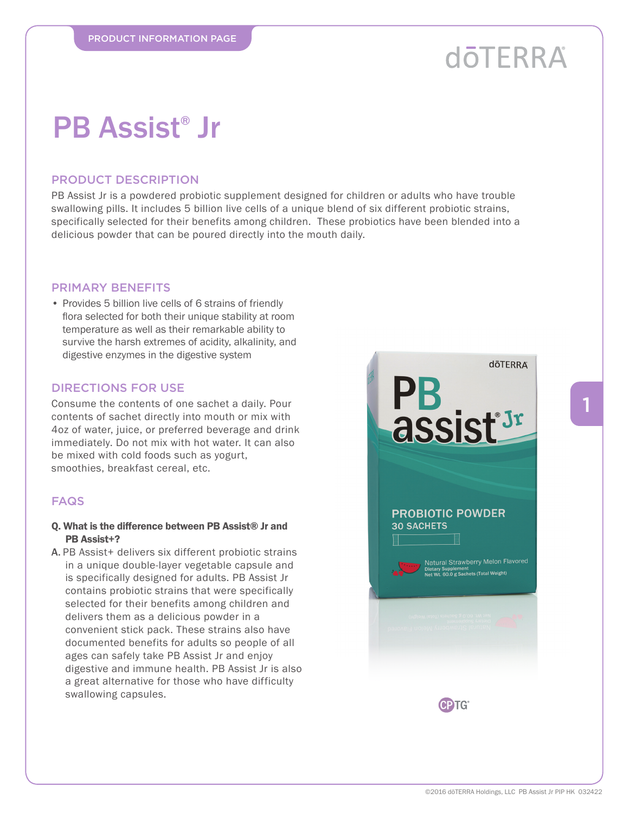# **dōTERRA**

## PB Assist® Jr

### PRODUCT DESCRIPTION

PB Assist Jr is a powdered probiotic supplement designed for children or adults who have trouble swallowing pills. It includes 5 billion live cells of a unique blend of six different probiotic strains, specifically selected for their benefits among children. These probiotics have been blended into a delicious powder that can be poured directly into the mouth daily.

### PRIMARY BENEFITS

• Provides 5 billion live cells of 6 strains of friendly flora selected for both their unique stability at room temperature as well as their remarkable ability to survive the harsh extremes of acidity, alkalinity, and digestive enzymes in the digestive system

#### DIRECTIONS FOR USE

Consume the contents of one sachet a daily. Pour contents of sachet directly into mouth or mix with 4oz of water, juice, or preferred beverage and drink immediately. Do not mix with hot water. It can also be mixed with cold foods such as yogurt, smoothies, breakfast cereal, etc.

### FAQS

- Q. What is the difference between PB Assist® Jr and PB Assist+?
- A. PB Assist+ delivers six different probiotic strains in a unique double-layer vegetable capsule and is specifically designed for adults. PB Assist Jr contains probiotic strains that were specifically selected for their benefits among children and delivers them as a delicious powder in a convenient stick pack. These strains also have documented benefits for adults so people of all ages can safely take PB Assist Jr and enjoy digestive and immune health. PB Assist Jr is also a great alternative for those who have difficulty swallowing capsules.